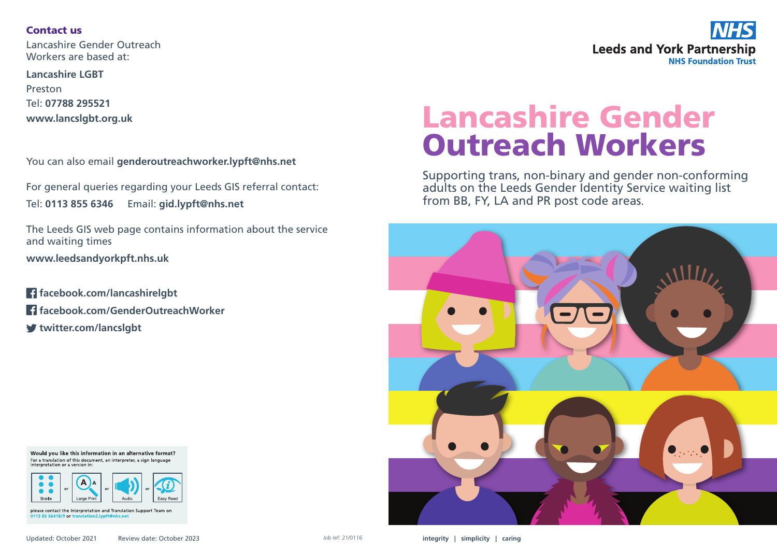## Contact us

Lancashire Gender Outreach Workers are based at:

**Lancashire LGBT** Preston Tel: **07788 295521 www.lancslgbt.org.uk**

You can also email **genderoutreachworker.lypft@nhs.net**

For general queries regarding your Leeds GIS referral contact: Tel: **0113 855 6346** Email: **gid.lypft@nhs.net**

The Leeds GIS web page contains information about the service and waiting times **www.leedsandyorkpft.nhs.uk**

**facebook.com/lancashirelgbt facebook.com/GenderOutreachWorker twitter.com/lancslgbt**

Would you like this information in an alternative format? For a translation of this document, an interpreter, a sign language



please contact the Interpretation and Translation Support Team on 0113 85 56418/9 or trai on2.lvnft@nhs.net



# Lancashire Gender Outreach Workers

Supporting trans, non-binary and gender non-conforming adults on the Leeds Gender Identity Service waiting list from BB, FY, LA and PR post code areas.